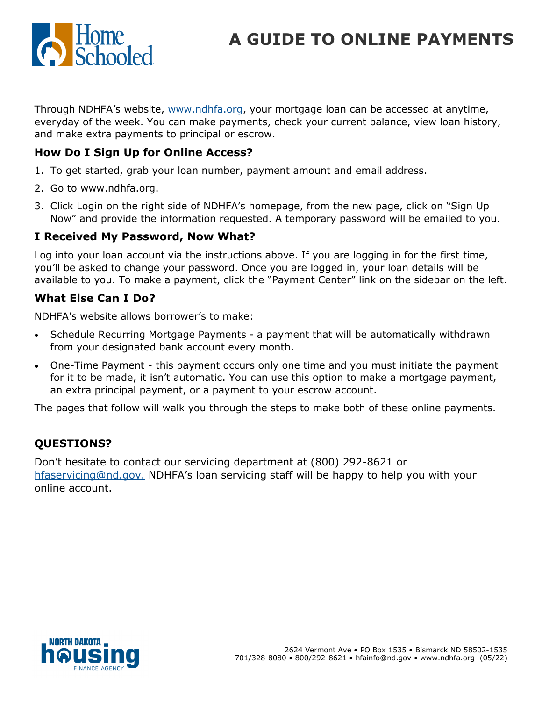

# **A GUIDE TO ONLINE PAYMENTS**

Through NDHFA's website, [www.ndhfa.org,](http://www.ndhfa.org) your mortgage loan can be accessed at anytime, everyday of the week. You can make payments, check your current balance, view loan history, and make extra payments to principal or escrow.

#### **How Do I Sign Up for Online Access?**

- 1. To get started, grab your loan number, payment amount and email address.
- 2. Go to www.ndhfa.org.
- 3. Click Login on the right side of NDHFA's homepage, from the new page, click on "Sign Up Now" and provide the information requested. A temporary password will be emailed to you.

#### **I Received My Password, Now What?**

Log into your loan account via the instructions above. If you are logging in for the first time, you'll be asked to change your password. Once you are logged in, your loan details will be available to you. To make a payment, click the "Payment Center" link on the sidebar on the left.

#### **What Else Can I Do?**

NDHFA's website allows borrower's to make:

- Schedule Recurring Mortgage Payments a payment that will be automatically withdrawn from your designated bank account every month.
- One-Time Payment this payment occurs only one time and you must initiate the payment for it to be made, it isn't automatic. You can use this option to make a mortgage payment, an extra principal payment, or a payment to your escrow account.

The pages that follow will walk you through the steps to make both of these online payments.

### **QUESTIONS?**

Don't hesitate to contact our servicing department at (800) 292-8621 or [hfaservicing@nd.gov.](mailto:hfaservicing@nd.gov) NDHFA's loan servicing staff will be happy to help you with your online account.

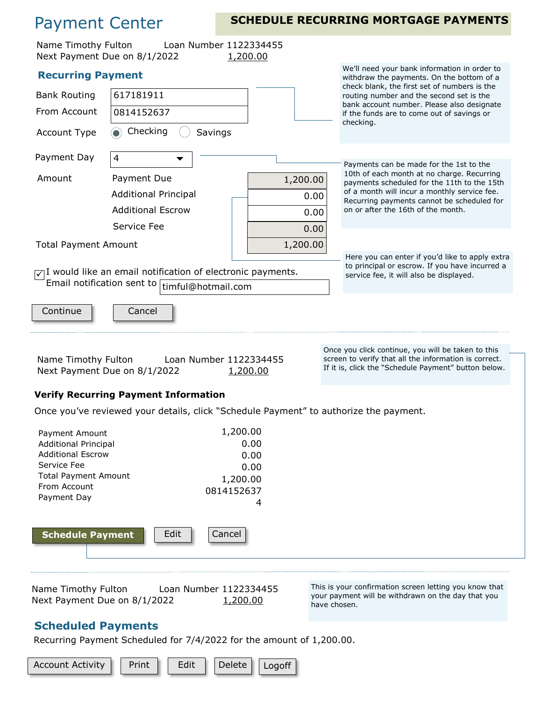## Payment Center

### **SCHEDULE RECURRING MORTGAGE PAYMENTS**

| Name Timothy Fulton                                                                                                                                                                                                                                              | Loan Number 1122334455<br>Next Payment Due on 8/1/2022                                | 1,200.00                                                                                  |                                                                                                                                              |  |  |  |  |
|------------------------------------------------------------------------------------------------------------------------------------------------------------------------------------------------------------------------------------------------------------------|---------------------------------------------------------------------------------------|-------------------------------------------------------------------------------------------|----------------------------------------------------------------------------------------------------------------------------------------------|--|--|--|--|
| <b>Recurring Payment</b>                                                                                                                                                                                                                                         |                                                                                       | We'll need your bank information in order to<br>withdraw the payments. On the bottom of a |                                                                                                                                              |  |  |  |  |
| <b>Bank Routing</b>                                                                                                                                                                                                                                              | 617181911                                                                             |                                                                                           | check blank, the first set of numbers is the<br>routing number and the second set is the                                                     |  |  |  |  |
| From Account                                                                                                                                                                                                                                                     | 0814152637                                                                            |                                                                                           | bank account number. Please also designate<br>if the funds are to come out of savings or                                                     |  |  |  |  |
| Account Type                                                                                                                                                                                                                                                     | Checking<br>Savings                                                                   |                                                                                           | checking.                                                                                                                                    |  |  |  |  |
| Payment Day                                                                                                                                                                                                                                                      | $\overline{\mathcal{L}}$                                                              |                                                                                           | Payments can be made for the 1st to the                                                                                                      |  |  |  |  |
| Amount                                                                                                                                                                                                                                                           | Payment Due                                                                           | 1,200.00                                                                                  | 10th of each month at no charge. Recurring<br>payments scheduled for the 11th to the 15th                                                    |  |  |  |  |
|                                                                                                                                                                                                                                                                  | <b>Additional Principal</b>                                                           | 0.00                                                                                      | of a month will incur a monthly service fee.<br>Recurring payments cannot be scheduled for                                                   |  |  |  |  |
|                                                                                                                                                                                                                                                                  | <b>Additional Escrow</b>                                                              | 0.00                                                                                      | on or after the 16th of the month.                                                                                                           |  |  |  |  |
|                                                                                                                                                                                                                                                                  | Service Fee                                                                           | 0.00                                                                                      |                                                                                                                                              |  |  |  |  |
| <b>Total Payment Amount</b>                                                                                                                                                                                                                                      |                                                                                       | 1,200.00                                                                                  |                                                                                                                                              |  |  |  |  |
| $\sqrt{1}$ would like an email notification of electronic payments.                                                                                                                                                                                              |                                                                                       |                                                                                           | Here you can enter if you'd like to apply extra<br>to principal or escrow. If you have incurred a<br>service fee, it will also be displayed. |  |  |  |  |
|                                                                                                                                                                                                                                                                  | Email notification sent to timful@hotmail.com                                         |                                                                                           |                                                                                                                                              |  |  |  |  |
| Continue                                                                                                                                                                                                                                                         | Cancel                                                                                |                                                                                           |                                                                                                                                              |  |  |  |  |
| Once you click continue, you will be taken to this<br>screen to verify that all the information is correct.<br>Name Timothy Fulton<br>Loan Number 1122334455<br>If it is, click the "Schedule Payment" button below.<br>Next Payment Due on 8/1/2022<br>1,200.00 |                                                                                       |                                                                                           |                                                                                                                                              |  |  |  |  |
| <b>Verify Recurring Payment Information</b>                                                                                                                                                                                                                      |                                                                                       |                                                                                           |                                                                                                                                              |  |  |  |  |
|                                                                                                                                                                                                                                                                  | Once you've reviewed your details, click "Schedule Payment" to authorize the payment. |                                                                                           |                                                                                                                                              |  |  |  |  |
| Payment Amount                                                                                                                                                                                                                                                   |                                                                                       | 1,200.00                                                                                  |                                                                                                                                              |  |  |  |  |
| <b>Additional Principal</b>                                                                                                                                                                                                                                      |                                                                                       | 0.00                                                                                      |                                                                                                                                              |  |  |  |  |
| <b>Additional Escrow</b><br>Service Fee                                                                                                                                                                                                                          |                                                                                       | 0.00<br>0.00                                                                              |                                                                                                                                              |  |  |  |  |
| <b>Total Payment Amount</b>                                                                                                                                                                                                                                      |                                                                                       | 1,200.00                                                                                  |                                                                                                                                              |  |  |  |  |
| From Account<br>Payment Day                                                                                                                                                                                                                                      | 0814152637                                                                            |                                                                                           |                                                                                                                                              |  |  |  |  |
|                                                                                                                                                                                                                                                                  |                                                                                       | 4                                                                                         |                                                                                                                                              |  |  |  |  |
| <b>Schedule Payment</b>                                                                                                                                                                                                                                          | Edit<br>Cancel                                                                        |                                                                                           |                                                                                                                                              |  |  |  |  |
|                                                                                                                                                                                                                                                                  |                                                                                       |                                                                                           |                                                                                                                                              |  |  |  |  |
| This is your confirmation screen letting you know that<br>Name Timothy Fulton<br>Loan Number 1122334455<br>your payment will be withdrawn on the day that you<br>Next Payment Due on 8/1/2022<br>1,200.00<br>have chosen.                                        |                                                                                       |                                                                                           |                                                                                                                                              |  |  |  |  |
| <b>Scheduled Payments</b>                                                                                                                                                                                                                                        |                                                                                       |                                                                                           |                                                                                                                                              |  |  |  |  |

#### Recurring Payment Scheduled for 7/4/2022 for the amount of 1,200.00.

Account Activity  $\|\cdot\|$  Print  $\|\cdot\|$  Edit  $\|\cdot\|$  Delete  $\|\cdot\|$  Logoff